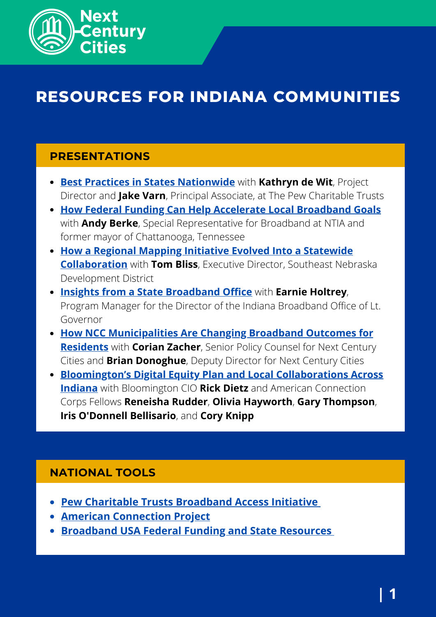

# **RESOURCES FOR INDIANA COMMUNITIES**

## **PRESENTATIONS**

- **[Best Practices in States Nationwide](https://nextcenturycities.org/wp-content/uploads/2021/05/Best-Practices-in-States-Nationwide-with-Pew-Charitable-Trusts.pdf)** with **Kathryn de Wit**, Project Director and **Jake Varn**, Principal Associate, at The Pew Charitable Trusts
- **[How Federal Funding Can Help Accelerate Local Broadband Goals](https://nextcenturycities.org/wp-content/uploads/2021/05/How-Federal-Funding-Can-Help-Accelerate-Local-Broadband-Goals.pdf)** with **Andy Berke**, Special Representative for Broadband at NTIA and former mayor of Chattanooga, Tennessee
- **[How a Regional Mapping Initiative Evolved Into a Statewide](https://nextcenturycities.org/wp-content/uploads/2021/05/How-a-Regional-Mapping-Initiative-Evolved-Into-a-Statewide-Collaboration.pdf) Collaboration** with **Tom Bliss**, Executive Director, Southeast Nebraska Development District
- **[Insights from a State Broadband Office](https://nextcenturycities.org/wp-content/uploads/2021/05/Insights-from-a-State-Broadband-Office.pdf)** with **Earnie Holtrey**, Program Manager for the Director of the Indiana Broadband Office of Lt. Governor
- **[How NCC Municipalities Are Changing Broadband Outcomes for](https://nextcenturycities.org/wp-content/uploads/2021/05/How-NCC-municipalities-are-changing-broadband-outcomes-for-residents.pdf) Residents** with **Corian Zacher**, Senior Policy Counsel for Next Century Cities and **Brian Donoghue**, Deputy Director for Next Century Cities
- **[Bloomington's Digital Equity Plan and Local Collaborations Across](https://nextcenturycities.org/wp-content/uploads/2021/05/Bloomingtons-Digital-Equity-Plan-and-Local-Collaborations-Across-Indiana.pdf) Indiana** with Bloomington CIO **Rick Dietz** and American Connection Corps Fellows **Reneisha Rudder**, **Olivia Hayworth**, **Gary Thompson**, **Iris O'Donnell Bellisario**, and **Cory Knipp**

### **NATIONAL TOOLS**

- **Pew Charitable Trusts [Broadband](https://www.pewtrusts.org/en/projects/broadband-access-initiative) Access Initiative**
- **American [Connection](https://www.leadforamerica.org/american-connection-corps) Project**
- **[Broadband](https://broadbandusa.ntia.doc.gov/) USA Federal Funding and State Resources**